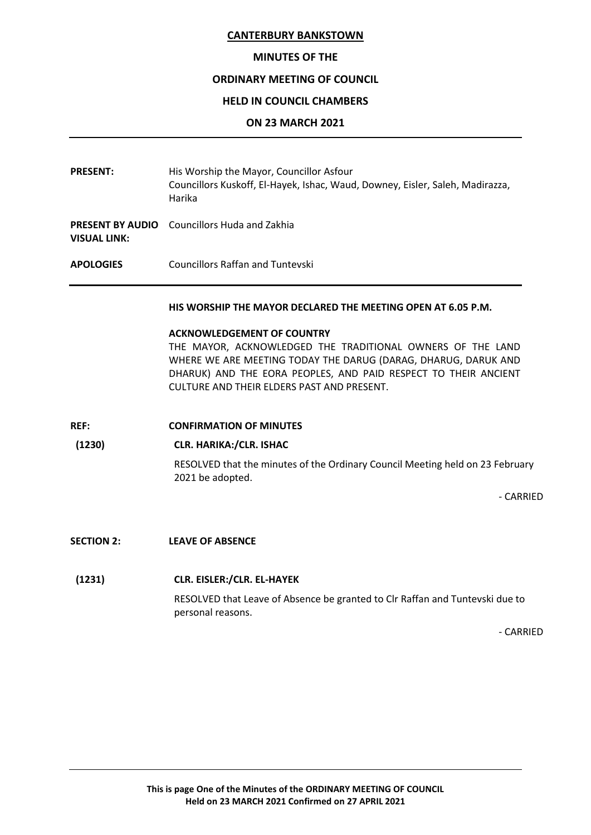# **MINUTES OF THE**

# **ORDINARY MEETING OF COUNCIL**

# **HELD IN COUNCIL CHAMBERS**

#### **ON 23 MARCH 2021**

- **PRESENT:** His Worship the Mayor, Councillor Asfour Councillors Kuskoff, El-Hayek, Ishac, Waud, Downey, Eisler, Saleh, Madirazza, Harika **PRESENT BY AUDIO** Councillors Huda and Zakhia
- **VISUAL LINK:**
- **APOLOGIES** Councillors Raffan and Tuntevski

#### **HIS WORSHIP THE MAYOR DECLARED THE MEETING OPEN AT 6.05 P.M.**

#### **ACKNOWLEDGEMENT OF COUNTRY**

THE MAYOR, ACKNOWLEDGED THE TRADITIONAL OWNERS OF THE LAND WHERE WE ARE MEETING TODAY THE DARUG (DARAG, DHARUG, DARUK AND DHARUK) AND THE EORA PEOPLES, AND PAID RESPECT TO THEIR ANCIENT CULTURE AND THEIR ELDERS PAST AND PRESENT.

#### **REF: CONFIRMATION OF MINUTES**

**(1230) CLR. HARIKA:/CLR. ISHAC**

RESOLVED that the minutes of the Ordinary Council Meeting held on 23 February 2021 be adopted.

- CARRIED

**SECTION 2: LEAVE OF ABSENCE**

#### **(1231) CLR. EISLER:/CLR. EL-HAYEK**

RESOLVED that Leave of Absence be granted to Clr Raffan and Tuntevski due to personal reasons.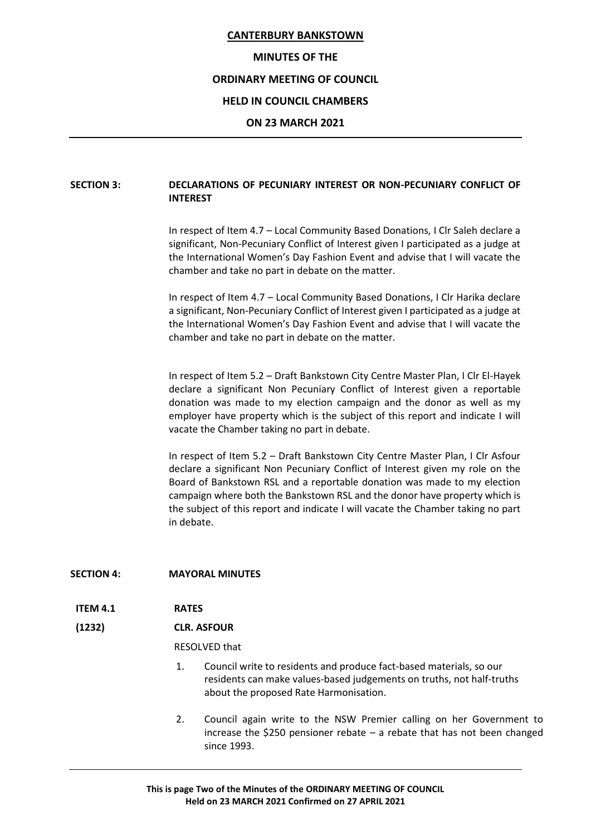#### **MINUTES OF THE**

#### **ORDINARY MEETING OF COUNCIL**

#### **HELD IN COUNCIL CHAMBERS**

#### **ON 23 MARCH 2021**

# **SECTION 3: DECLARATIONS OF PECUNIARY INTEREST OR NON-PECUNIARY CONFLICT OF INTEREST**

In respect of Item 4.7 – Local Community Based Donations, I Clr Saleh declare a significant, Non-Pecuniary Conflict of Interest given I participated as a judge at the International Women's Day Fashion Event and advise that I will vacate the chamber and take no part in debate on the matter.

In respect of Item 4.7 – Local Community Based Donations, I Clr Harika declare a significant, Non-Pecuniary Conflict of Interest given I participated as a judge at the International Women's Day Fashion Event and advise that I will vacate the chamber and take no part in debate on the matter.

In respect of Item 5.2 – Draft Bankstown City Centre Master Plan, I Clr El-Hayek declare a significant Non Pecuniary Conflict of Interest given a reportable donation was made to my election campaign and the donor as well as my employer have property which is the subject of this report and indicate I will vacate the Chamber taking no part in debate.

In respect of Item 5.2 – Draft Bankstown City Centre Master Plan, I Clr Asfour declare a significant Non Pecuniary Conflict of Interest given my role on the Board of Bankstown RSL and a reportable donation was made to my election campaign where both the Bankstown RSL and the donor have property which is the subject of this report and indicate I will vacate the Chamber taking no part in debate.

#### **SECTION 4: MAYORAL MINUTES**

**ITEM 4.1 RATES**

# **(1232) CLR. ASFOUR**

RESOLVED that

- 1. Council write to residents and produce fact-based materials, so our residents can make values-based judgements on truths, not half-truths about the proposed Rate Harmonisation.
- 2. Council again write to the NSW Premier calling on her Government to increase the \$250 pensioner rebate  $-$  a rebate that has not been changed since 1993.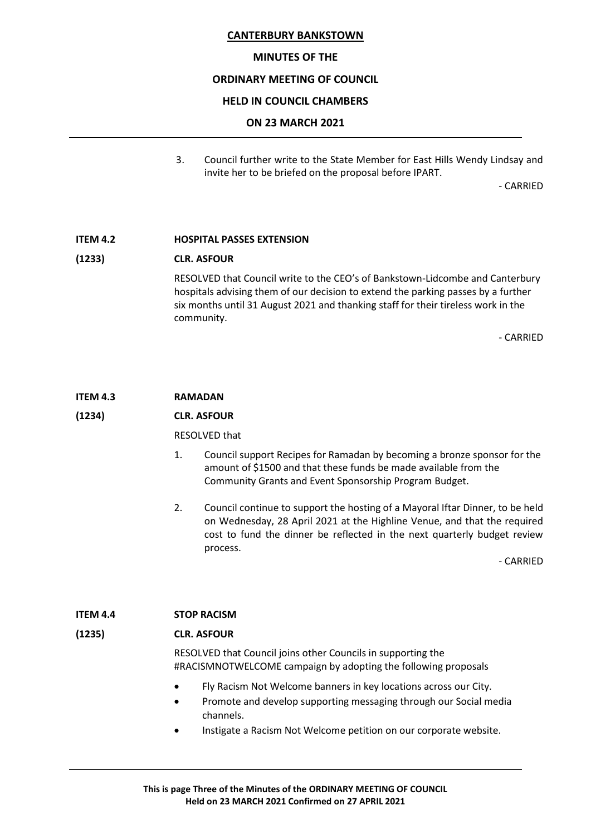#### **MINUTES OF THE**

#### **ORDINARY MEETING OF COUNCIL**

#### **HELD IN COUNCIL CHAMBERS**

#### **ON 23 MARCH 2021**

3. Council further write to the State Member for East Hills Wendy Lindsay and invite her to be briefed on the proposal before IPART.

- CARRIED

#### **ITEM 4.2 HOSPITAL PASSES EXTENSION**

#### **(1233) CLR. ASFOUR**

RESOLVED that Council write to the CEO's of Bankstown-Lidcombe and Canterbury hospitals advising them of our decision to extend the parking passes by a further six months until 31 August 2021 and thanking staff for their tireless work in the community.

- CARRIED

#### **ITEM 4.3 RAMADAN**

#### **(1234) CLR. ASFOUR**

RESOLVED that

- 1. Council support Recipes for Ramadan by becoming a bronze sponsor for the amount of \$1500 and that these funds be made available from the Community Grants and Event Sponsorship Program Budget.
- 2. Council continue to support the hosting of a Mayoral Iftar Dinner, to be held on Wednesday, 28 April 2021 at the Highline Venue, and that the required cost to fund the dinner be reflected in the next quarterly budget review process.

- CARRIED

#### **ITEM 4.4 STOP RACISM**

#### **(1235) CLR. ASFOUR**

RESOLVED that Council joins other Councils in supporting the #RACISMNOTWELCOME campaign by adopting the following proposals

- Fly Racism Not Welcome banners in key locations across our City.
- Promote and develop supporting messaging through our Social media channels.
- Instigate a Racism Not Welcome petition on our corporate website.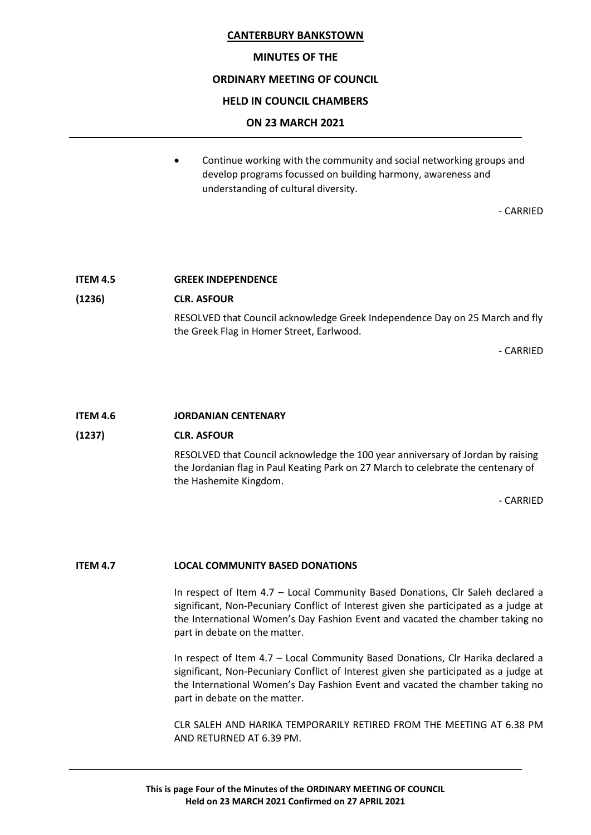#### **MINUTES OF THE**

### **ORDINARY MEETING OF COUNCIL**

#### **HELD IN COUNCIL CHAMBERS**

#### **ON 23 MARCH 2021**

• Continue working with the community and social networking groups and develop programs focussed on building harmony, awareness and understanding of cultural diversity.

- CARRIED

# **ITEM 4.5 GREEK INDEPENDENCE (1236) CLR. ASFOUR** RESOLVED that Council acknowledge Greek Independence Day on 25 March and fly the Greek Flag in Homer Street, Earlwood.

- CARRIED

# **ITEM 4.6 JORDANIAN CENTENARY**

#### **(1237) CLR. ASFOUR**

RESOLVED that Council acknowledge the 100 year anniversary of Jordan by raising the Jordanian flag in Paul Keating Park on 27 March to celebrate the centenary of the Hashemite Kingdom.

- CARRIED

#### **ITEM 4.7 LOCAL COMMUNITY BASED DONATIONS**

In respect of Item 4.7 – Local Community Based Donations, Clr Saleh declared a significant, Non-Pecuniary Conflict of Interest given she participated as a judge at the International Women's Day Fashion Event and vacated the chamber taking no part in debate on the matter.

In respect of Item 4.7 – Local Community Based Donations, Clr Harika declared a significant, Non-Pecuniary Conflict of Interest given she participated as a judge at the International Women's Day Fashion Event and vacated the chamber taking no part in debate on the matter.

CLR SALEH AND HARIKA TEMPORARILY RETIRED FROM THE MEETING AT 6.38 PM AND RETURNED AT 6.39 PM.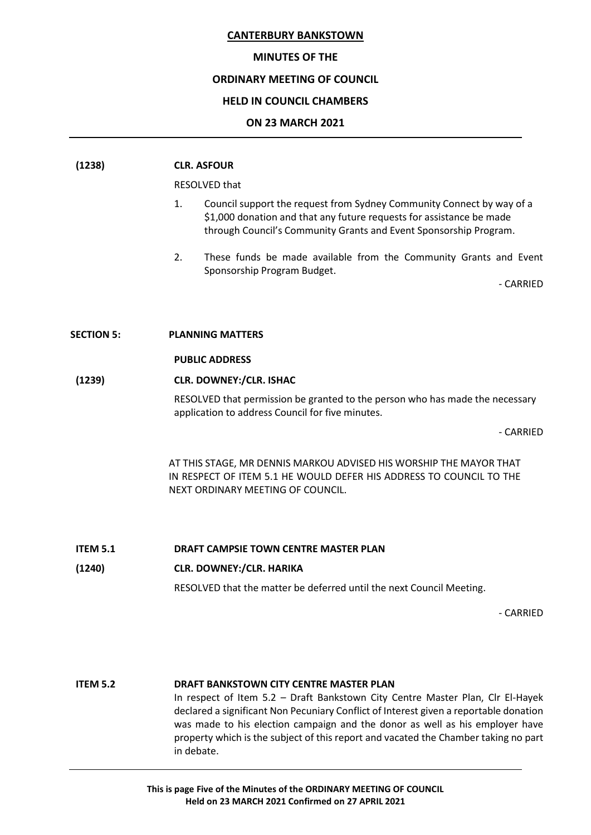#### **MINUTES OF THE**

#### **ORDINARY MEETING OF COUNCIL**

#### **HELD IN COUNCIL CHAMBERS**

#### **ON 23 MARCH 2021**

| (1238)            | <b>CLR. ASFOUR</b>                                                                                                                                                                                                       |
|-------------------|--------------------------------------------------------------------------------------------------------------------------------------------------------------------------------------------------------------------------|
|                   | RESOLVED that                                                                                                                                                                                                            |
|                   | Council support the request from Sydney Community Connect by way of a<br>1.<br>\$1,000 donation and that any future requests for assistance be made<br>through Council's Community Grants and Event Sponsorship Program. |
|                   | 2.<br>These funds be made available from the Community Grants and Event<br>Sponsorship Program Budget.                                                                                                                   |
|                   | - CARRIED                                                                                                                                                                                                                |
|                   |                                                                                                                                                                                                                          |
| <b>SECTION 5:</b> | <b>PLANNING MATTERS</b>                                                                                                                                                                                                  |
|                   | <b>PUBLIC ADDRESS</b>                                                                                                                                                                                                    |
| (1239)            | <b>CLR. DOWNEY:/CLR. ISHAC</b>                                                                                                                                                                                           |
|                   | RESOLVED that permission be granted to the person who has made the necessary<br>application to address Council for five minutes.                                                                                         |
|                   | - CARRIED                                                                                                                                                                                                                |
|                   | AT THIS STAGE, MR DENNIS MARKOU ADVISED HIS WORSHIP THE MAYOR THAT<br>IN RESPECT OF ITEM 5.1 HE WOULD DEFER HIS ADDRESS TO COUNCIL TO THE<br>NEXT ORDINARY MEETING OF COUNCIL.                                           |
|                   |                                                                                                                                                                                                                          |
| <b>ITEM 5.1</b>   | DRAFT CAMPSIE TOWN CENTRE MASTER PLAN                                                                                                                                                                                    |
| (1240)            | <b>CLR. DOWNEY:/CLR. HARIKA</b>                                                                                                                                                                                          |
|                   | RESOLVED that the matter be deferred until the next Council Meeting.                                                                                                                                                     |
|                   | - CARRIED                                                                                                                                                                                                                |
|                   |                                                                                                                                                                                                                          |

# **ITEM 5.2 DRAFT BANKSTOWN CITY CENTRE MASTER PLAN**

In respect of Item 5.2 – Draft Bankstown City Centre Master Plan, Clr El-Hayek declared a significant Non Pecuniary Conflict of Interest given a reportable donation was made to his election campaign and the donor as well as his employer have property which is the subject of this report and vacated the Chamber taking no part in debate.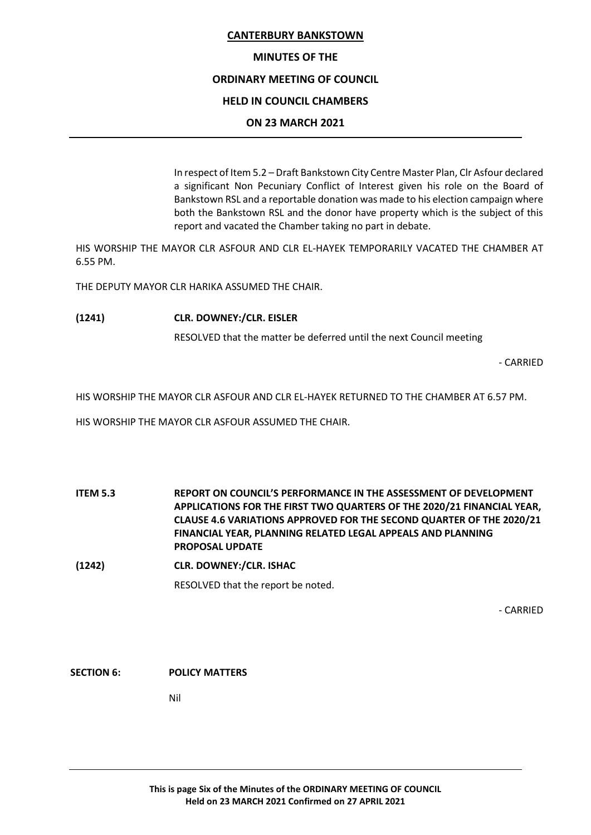# **MINUTES OF THE**

# **ORDINARY MEETING OF COUNCIL**

# **HELD IN COUNCIL CHAMBERS**

# **ON 23 MARCH 2021**

In respect of Item 5.2 – Draft Bankstown City Centre Master Plan, Clr Asfour declared a significant Non Pecuniary Conflict of Interest given his role on the Board of Bankstown RSL and a reportable donation was made to his election campaign where both the Bankstown RSL and the donor have property which is the subject of this report and vacated the Chamber taking no part in debate.

HIS WORSHIP THE MAYOR CLR ASFOUR AND CLR EL-HAYEK TEMPORARILY VACATED THE CHAMBER AT 6.55 PM.

THE DEPUTY MAYOR CLR HARIKA ASSUMED THE CHAIR.

# **(1241) CLR. DOWNEY:/CLR. EISLER**

RESOLVED that the matter be deferred until the next Council meeting

- CARRIED

HIS WORSHIP THE MAYOR CLR ASFOUR AND CLR EL-HAYEK RETURNED TO THE CHAMBER AT 6.57 PM.

HIS WORSHIP THE MAYOR CLR ASFOUR ASSUMED THE CHAIR.

**ITEM 5.3 REPORT ON COUNCIL'S PERFORMANCE IN THE ASSESSMENT OF DEVELOPMENT APPLICATIONS FOR THE FIRST TWO QUARTERS OF THE 2020/21 FINANCIAL YEAR, CLAUSE 4.6 VARIATIONS APPROVED FOR THE SECOND QUARTER OF THE 2020/21 FINANCIAL YEAR, PLANNING RELATED LEGAL APPEALS AND PLANNING PROPOSAL UPDATE**

**(1242) CLR. DOWNEY:/CLR. ISHAC** RESOLVED that the report be noted.

- CARRIED

#### **SECTION 6: POLICY MATTERS**

Nil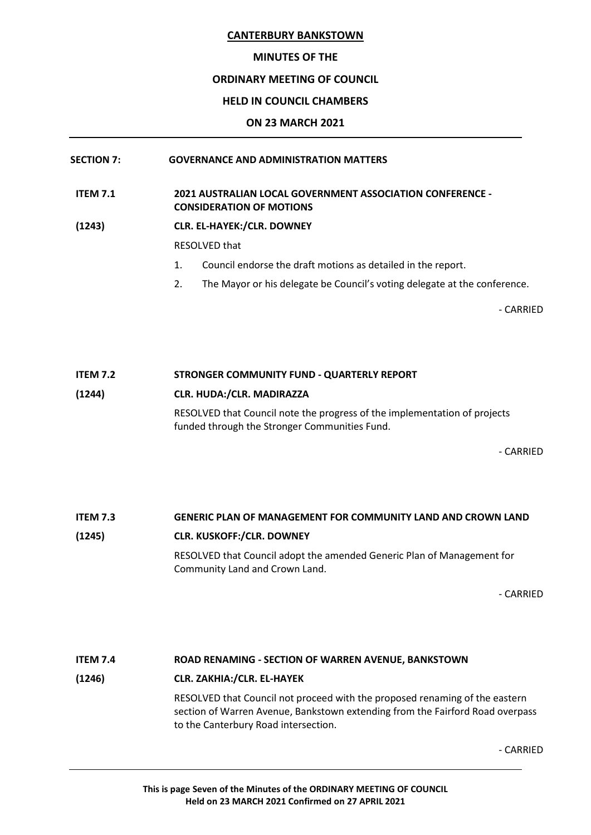# **MINUTES OF THE**

# **ORDINARY MEETING OF COUNCIL**

# **HELD IN COUNCIL CHAMBERS**

# **ON 23 MARCH 2021**

# **SECTION 7: GOVERNANCE AND ADMINISTRATION MATTERS**

**ITEM 7.1 2021 AUSTRALIAN LOCAL GOVERNMENT ASSOCIATION CONFERENCE - CONSIDERATION OF MOTIONS**

# **(1243) CLR. EL-HAYEK:/CLR. DOWNEY**

RESOLVED that

- 1. Council endorse the draft motions as detailed in the report.
- 2. The Mayor or his delegate be Council's voting delegate at the conference.

- CARRIED

# **ITEM 7.2 STRONGER COMMUNITY FUND - QUARTERLY REPORT (1244) CLR. HUDA:/CLR. MADIRAZZA** RESOLVED that Council note the progress of the implementation of projects funded through the Stronger Communities Fund.

- CARRIED

**ITEM 7.3 GENERIC PLAN OF MANAGEMENT FOR COMMUNITY LAND AND CROWN LAND (1245) CLR. KUSKOFF:/CLR. DOWNEY** RESOLVED that Council adopt the amended Generic Plan of Management for Community Land and Crown Land.

- CARRIED

**ITEM 7.4 ROAD RENAMING - SECTION OF WARREN AVENUE, BANKSTOWN (1246) CLR. ZAKHIA:/CLR. EL-HAYEK** RESOLVED that Council not proceed with the proposed renaming of the eastern section of Warren Avenue, Bankstown extending from the Fairford Road overpass to the Canterbury Road intersection.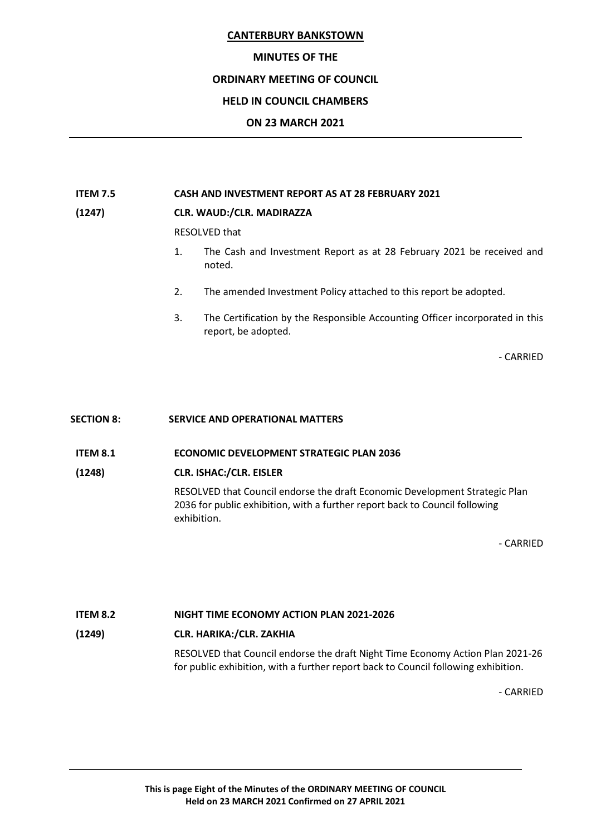#### **MINUTES OF THE**

#### **ORDINARY MEETING OF COUNCIL**

#### **HELD IN COUNCIL CHAMBERS**

#### **ON 23 MARCH 2021**

#### **ITEM 7.5 CASH AND INVESTMENT REPORT AS AT 28 FEBRUARY 2021**

#### **(1247) CLR. WAUD:/CLR. MADIRAZZA**

RESOLVED that

- 1. The Cash and Investment Report as at 28 February 2021 be received and noted.
- 2. The amended Investment Policy attached to this report be adopted.
- 3. The Certification by the Responsible Accounting Officer incorporated in this report, be adopted.

- CARRIED

#### **SECTION 8: SERVICE AND OPERATIONAL MATTERS**

#### **ITEM 8.1 ECONOMIC DEVELOPMENT STRATEGIC PLAN 2036**

#### **(1248) CLR. ISHAC:/CLR. EISLER**

RESOLVED that Council endorse the draft Economic Development Strategic Plan 2036 for public exhibition, with a further report back to Council following exhibition.

- CARRIED

**ITEM 8.2 NIGHT TIME ECONOMY ACTION PLAN 2021-2026**

# **(1249) CLR. HARIKA:/CLR. ZAKHIA**

RESOLVED that Council endorse the draft Night Time Economy Action Plan 2021-26 for public exhibition, with a further report back to Council following exhibition.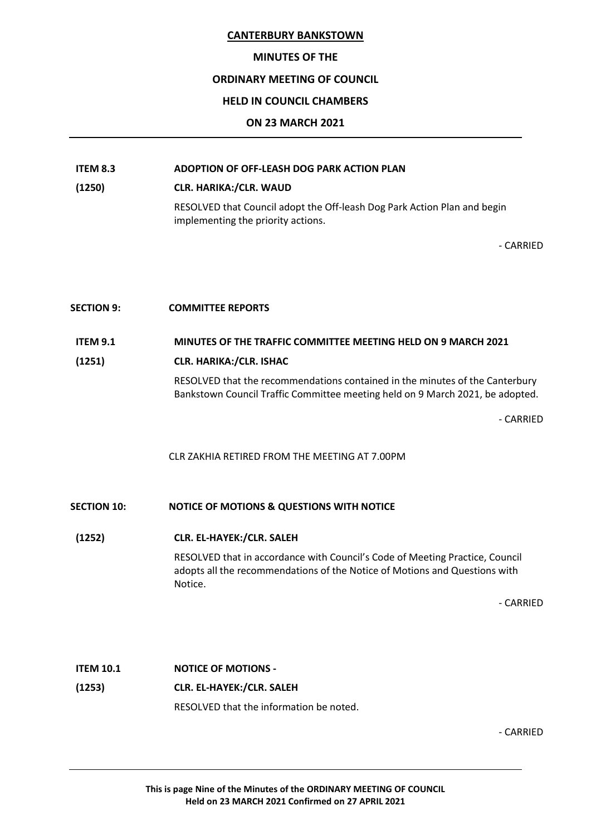# **MINUTES OF THE**

# **ORDINARY MEETING OF COUNCIL**

# **HELD IN COUNCIL CHAMBERS**

# **ON 23 MARCH 2021**

# **ITEM 8.3 ADOPTION OF OFF-LEASH DOG PARK ACTION PLAN**

**(1250) CLR. HARIKA:/CLR. WAUD**

RESOLVED that Council adopt the Off-leash Dog Park Action Plan and begin implementing the priority actions.

- CARRIED

# **SECTION 9: COMMITTEE REPORTS**

# **ITEM 9.1 MINUTES OF THE TRAFFIC COMMITTEE MEETING HELD ON 9 MARCH 2021**

**(1251) CLR. HARIKA:/CLR. ISHAC**

RESOLVED that the recommendations contained in the minutes of the Canterbury Bankstown Council Traffic Committee meeting held on 9 March 2021, be adopted.

- CARRIED

CLR ZAKHIA RETIRED FROM THE MEETING AT 7.00PM

**SECTION 10: NOTICE OF MOTIONS & QUESTIONS WITH NOTICE**

**(1252) CLR. EL-HAYEK:/CLR. SALEH**

RESOLVED that in accordance with Council's Code of Meeting Practice, Council adopts all the recommendations of the Notice of Motions and Questions with Notice.

- CARRIED

**ITEM 10.1 NOTICE OF MOTIONS - (1253) CLR. EL-HAYEK:/CLR. SALEH** RESOLVED that the information be noted.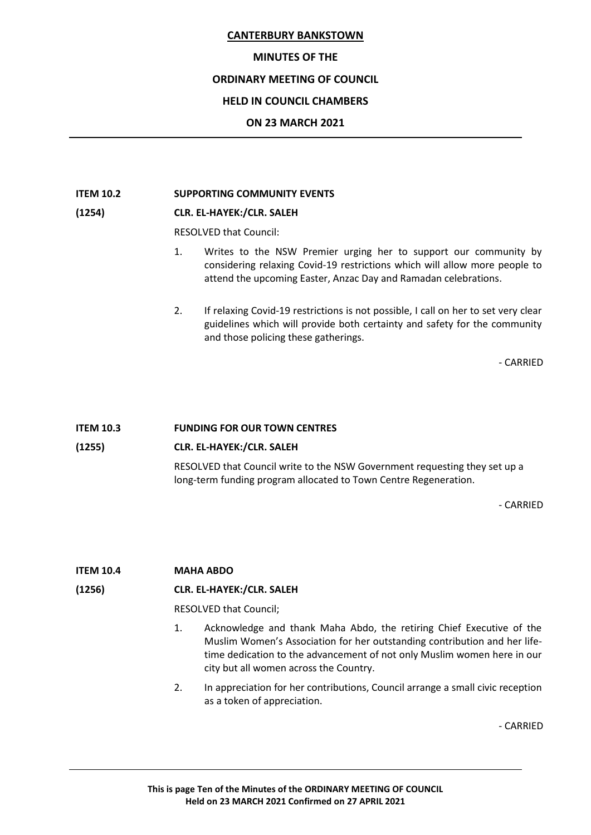#### **MINUTES OF THE**

## **ORDINARY MEETING OF COUNCIL**

# **HELD IN COUNCIL CHAMBERS**

# **ON 23 MARCH 2021**

#### **ITEM 10.2 SUPPORTING COMMUNITY EVENTS**

### **(1254) CLR. EL-HAYEK:/CLR. SALEH**

RESOLVED that Council:

- 1. Writes to the NSW Premier urging her to support our community by considering relaxing Covid-19 restrictions which will allow more people to attend the upcoming Easter, Anzac Day and Ramadan celebrations.
- 2. If relaxing Covid-19 restrictions is not possible, I call on her to set very clear guidelines which will provide both certainty and safety for the community and those policing these gatherings.

- CARRIED

# **ITEM 10.3 FUNDING FOR OUR TOWN CENTRES**

# **(1255) CLR. EL-HAYEK:/CLR. SALEH**

RESOLVED that Council write to the NSW Government requesting they set up a long-term funding program allocated to Town Centre Regeneration.

- CARRIED

# **ITEM 10.4 MAHA ABDO**

#### **(1256) CLR. EL-HAYEK:/CLR. SALEH**

RESOLVED that Council;

- 1. Acknowledge and thank Maha Abdo, the retiring Chief Executive of the Muslim Women's Association for her outstanding contribution and her lifetime dedication to the advancement of not only Muslim women here in our city but all women across the Country.
- 2. In appreciation for her contributions, Council arrange a small civic reception as a token of appreciation.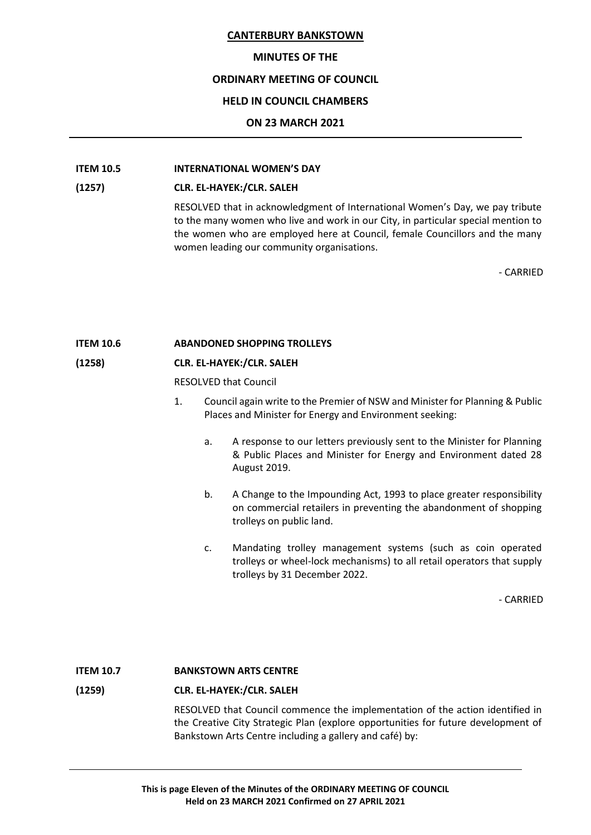#### **MINUTES OF THE**

#### **ORDINARY MEETING OF COUNCIL**

#### **HELD IN COUNCIL CHAMBERS**

#### **ON 23 MARCH 2021**

#### **ITEM 10.5 INTERNATIONAL WOMEN'S DAY**

#### **(1257) CLR. EL-HAYEK:/CLR. SALEH**

RESOLVED that in acknowledgment of International Women's Day, we pay tribute to the many women who live and work in our City, in particular special mention to the women who are employed here at Council, female Councillors and the many women leading our community organisations.

- CARRIED

#### **ITEM 10.6 ABANDONED SHOPPING TROLLEYS**

# **(1258) CLR. EL-HAYEK:/CLR. SALEH**

RESOLVED that Council

- 1. Council again write to the Premier of NSW and Minister for Planning & Public Places and Minister for Energy and Environment seeking:
	- a. A response to our letters previously sent to the Minister for Planning & Public Places and Minister for Energy and Environment dated 28 August 2019.
	- b. A Change to the Impounding Act, 1993 to place greater responsibility on commercial retailers in preventing the abandonment of shopping trolleys on public land.
	- c. Mandating trolley management systems (such as coin operated trolleys or wheel-lock mechanisms) to all retail operators that supply trolleys by 31 December 2022.

- CARRIED

#### **ITEM 10.7 BANKSTOWN ARTS CENTRE**

#### **(1259) CLR. EL-HAYEK:/CLR. SALEH**

RESOLVED that Council commence the implementation of the action identified in the Creative City Strategic Plan (explore opportunities for future development of Bankstown Arts Centre including a gallery and café) by: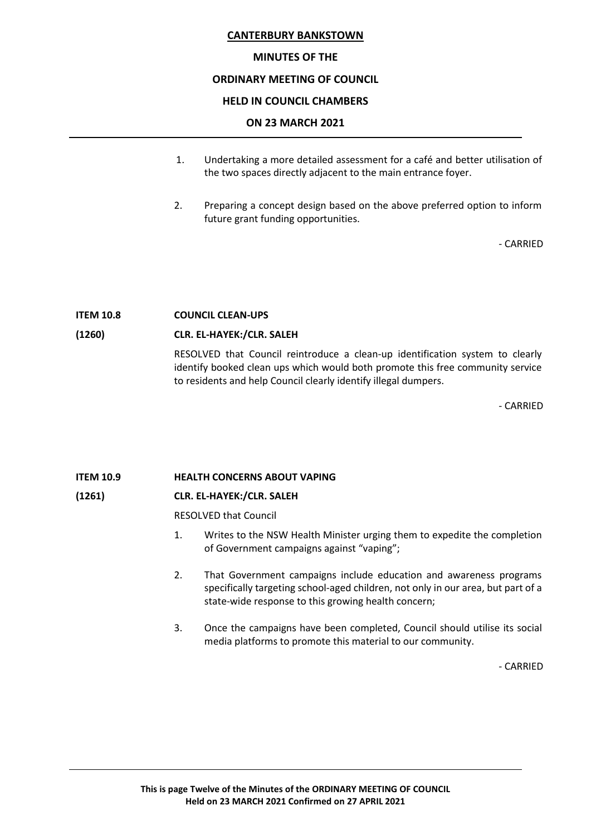# **MINUTES OF THE**

# **ORDINARY MEETING OF COUNCIL**

# **HELD IN COUNCIL CHAMBERS**

#### **ON 23 MARCH 2021**

- 1. Undertaking a more detailed assessment for a café and better utilisation of the two spaces directly adjacent to the main entrance foyer.
- 2. Preparing a concept design based on the above preferred option to inform future grant funding opportunities.

- CARRIED

#### **ITEM 10.8 COUNCIL CLEAN-UPS**

# **(1260) CLR. EL-HAYEK:/CLR. SALEH**

RESOLVED that Council reintroduce a clean-up identification system to clearly identify booked clean ups which would both promote this free community service to residents and help Council clearly identify illegal dumpers.

- CARRIED

#### **ITEM 10.9 HEALTH CONCERNS ABOUT VAPING**

#### **(1261) CLR. EL-HAYEK:/CLR. SALEH**

#### RESOLVED that Council

- 1. Writes to the NSW Health Minister urging them to expedite the completion of Government campaigns against "vaping";
- 2. That Government campaigns include education and awareness programs specifically targeting school-aged children, not only in our area, but part of a state-wide response to this growing health concern;
- 3. Once the campaigns have been completed, Council should utilise its social media platforms to promote this material to our community.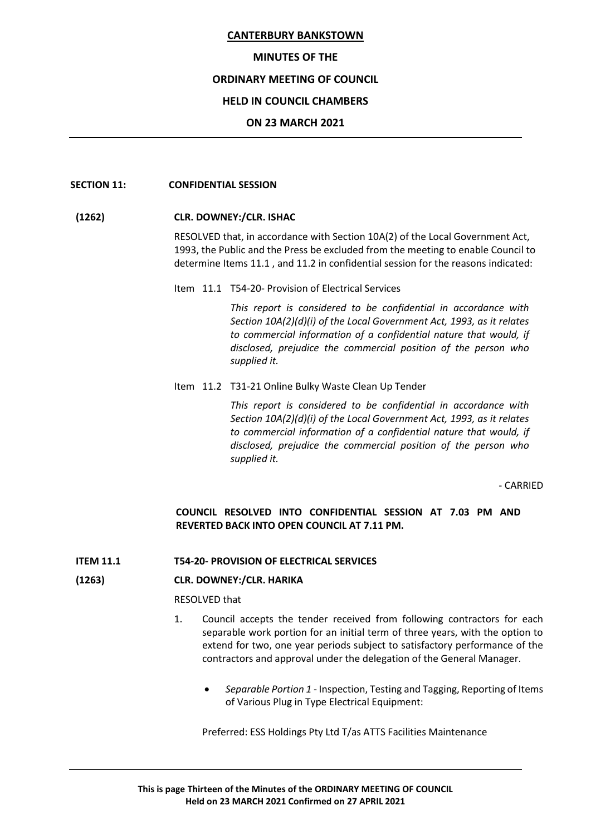#### **MINUTES OF THE**

#### **ORDINARY MEETING OF COUNCIL**

#### **HELD IN COUNCIL CHAMBERS**

#### **ON 23 MARCH 2021**

#### **SECTION 11: CONFIDENTIAL SESSION**

#### **(1262) CLR. DOWNEY:/CLR. ISHAC**

RESOLVED that, in accordance with Section 10A(2) of the Local Government Act, 1993, the Public and the Press be excluded from the meeting to enable Council to determine Items 11.1 , and 11.2 in confidential session for the reasons indicated:

Item 11.1 T54-20- Provision of Electrical Services

*This report is considered to be confidential in accordance with Section 10A(2)(d)(i) of the Local Government Act, 1993, as it relates to commercial information of a confidential nature that would, if disclosed, prejudice the commercial position of the person who supplied it.*

Item 11.2 T31-21 Online Bulky Waste Clean Up Tender

*This report is considered to be confidential in accordance with Section 10A(2)(d)(i) of the Local Government Act, 1993, as it relates to commercial information of a confidential nature that would, if disclosed, prejudice the commercial position of the person who supplied it.*

- CARRIED

# **COUNCIL RESOLVED INTO CONFIDENTIAL SESSION AT 7.03 PM AND REVERTED BACK INTO OPEN COUNCIL AT 7.11 PM.**

#### **ITEM 11.1 T54-20- PROVISION OF ELECTRICAL SERVICES**

# **(1263) CLR. DOWNEY:/CLR. HARIKA**

RESOLVED that

- 1. Council accepts the tender received from following contractors for each separable work portion for an initial term of three years, with the option to extend for two, one year periods subject to satisfactory performance of the contractors and approval under the delegation of the General Manager.
	- *Separable Portion 1* Inspection, Testing and Tagging, Reporting of Items of Various Plug in Type Electrical Equipment:

Preferred: ESS Holdings Pty Ltd T/as ATTS Facilities Maintenance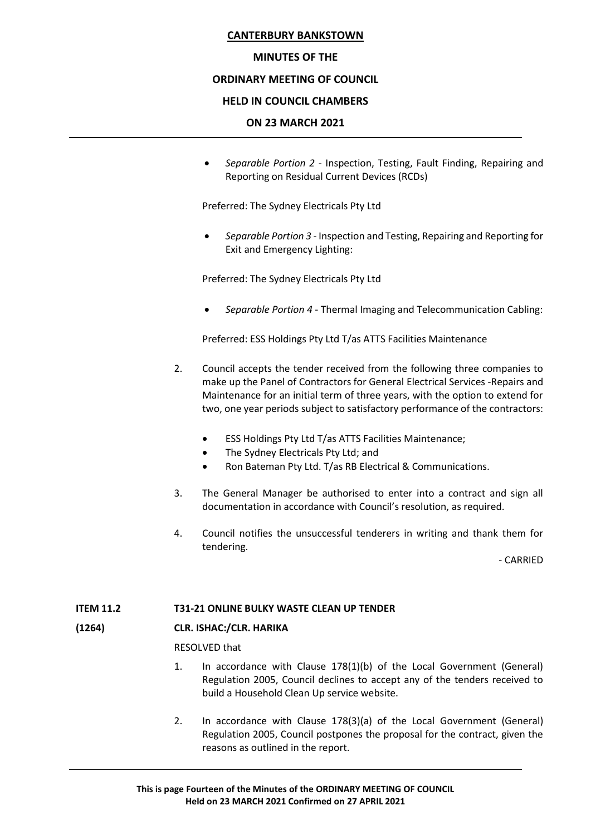#### **MINUTES OF THE**

#### **ORDINARY MEETING OF COUNCIL**

#### **HELD IN COUNCIL CHAMBERS**

#### **ON 23 MARCH 2021**

• *Separable Portion 2* - Inspection, Testing, Fault Finding, Repairing and Reporting on Residual Current Devices (RCDs)

Preferred: The Sydney Electricals Pty Ltd

• *Separable Portion 3* - Inspection and Testing, Repairing and Reporting for Exit and Emergency Lighting:

Preferred: The Sydney Electricals Pty Ltd

• *Separable Portion 4* - Thermal Imaging and Telecommunication Cabling:

Preferred: ESS Holdings Pty Ltd T/as ATTS Facilities Maintenance

- 2. Council accepts the tender received from the following three companies to make up the Panel of Contractors for General Electrical Services -Repairs and Maintenance for an initial term of three years, with the option to extend for two, one year periods subject to satisfactory performance of the contractors:
	- ESS Holdings Pty Ltd T/as ATTS Facilities Maintenance;
	- The Sydney Electricals Pty Ltd; and
	- Ron Bateman Pty Ltd. T/as RB Electrical & Communications.
- 3. The General Manager be authorised to enter into a contract and sign all documentation in accordance with Council's resolution, as required.
- 4. Council notifies the unsuccessful tenderers in writing and thank them for tendering.

- CARRIED

#### **ITEM 11.2 T31-21 ONLINE BULKY WASTE CLEAN UP TENDER**

#### **(1264) CLR. ISHAC:/CLR. HARIKA**

RESOLVED that

- 1. In accordance with Clause 178(1)(b) of the Local Government (General) Regulation 2005, Council declines to accept any of the tenders received to build a Household Clean Up service website.
- 2. In accordance with Clause 178(3)(a) of the Local Government (General) Regulation 2005, Council postpones the proposal for the contract, given the reasons as outlined in the report.